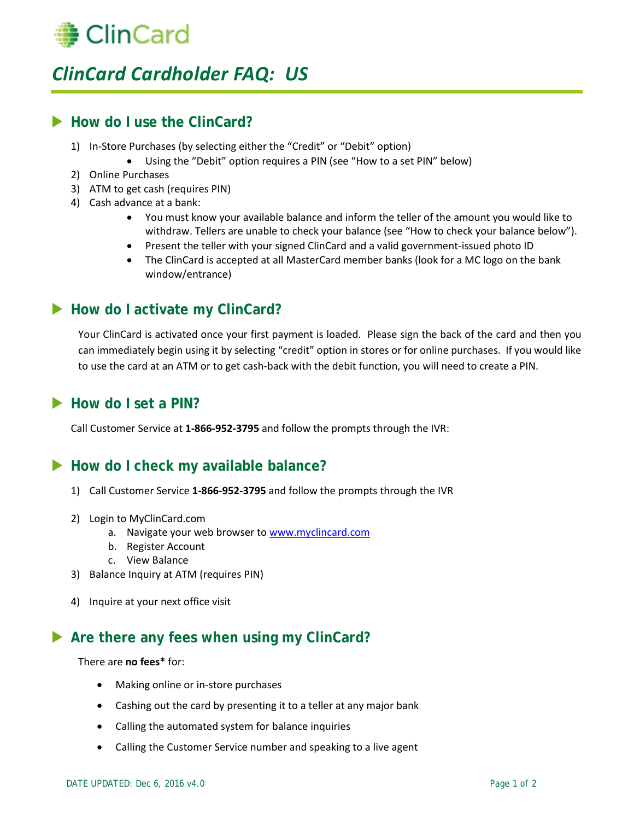

# *ClinCard Cardholder FAQ: US*

# ▶ How do I use the ClinCard?

- 1) In-Store Purchases (by selecting either the "Credit" or "Debit" option)
	- Using the "Debit" option requires a PIN (see "How to a set PIN" below)
- 2) Online Purchases
- 3) ATM to get cash (requires PIN)
- 4) Cash advance at a bank:
	- You must know your available balance and inform the teller of the amount you would like to withdraw. Tellers are unable to check your balance (see "How to check your balance below").
	- Present the teller with your signed ClinCard and a valid government-issued photo ID
	- The ClinCard is accepted at all MasterCard member banks (look for a MC logo on the bank window/entrance)

### ▶ How do I activate my ClinCard?

Your ClinCard is activated once your first payment is loaded. Please sign the back of the card and then you can immediately begin using it by selecting "credit" option in stores or for online purchases. If you would like to use the card at an ATM or to get cash-back with the debit function, you will need to create a PIN.

### How do I set a PIN?

Call Customer Service at **1-866-952-3795** and follow the prompts through the IVR:

### **How do I check my available balance?**

- 1) Call Customer Service **1-866-952-3795** and follow the prompts through the IVR
- 2) Login to MyClinCard.com
	- a. Navigate your web browser to [www.myclincard.com](http://www.myclincard.com/)
	- b. Register Account
	- c. View Balance
- 3) Balance Inquiry at ATM (requires PIN)
- 4) Inquire at your next office visit

### ▶ Are there any fees when using my ClinCard?

#### There are **no fees\*** for:

- Making online or in-store purchases
- Cashing out the card by presenting it to a teller at any major bank
- Calling the automated system for balance inquiries
- Calling the Customer Service number and speaking to a live agent